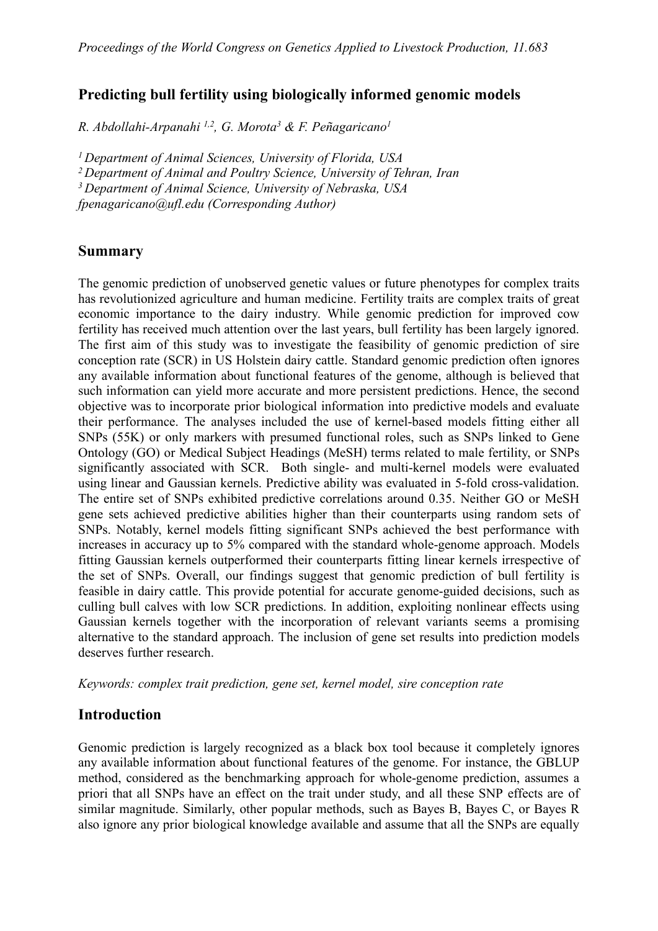# **Predicting bull fertility using biologically informed genomic models**

*R. Abdollahi-Arpanahi 1,2 , G. Morota<sup>3</sup> & F. Peñagaricano<sup>1</sup>*

*<sup>1</sup> Department of Animal Sciences, University of Florida, USA*

*<sup>2</sup> Department of Animal and Poultry Science, University of Tehran, Iran*

*<sup>3</sup> Department of Animal Science, University of Nebraska, USA*

*fpenagaricano@ufl.edu (Corresponding Author)*

## **Summary**

The genomic prediction of unobserved genetic values or future phenotypes for complex traits has revolutionized agriculture and human medicine. Fertility traits are complex traits of great economic importance to the dairy industry. While genomic prediction for improved cow fertility has received much attention over the last years, bull fertility has been largely ignored. The first aim of this study was to investigate the feasibility of genomic prediction of sire conception rate (SCR) in US Holstein dairy cattle. Standard genomic prediction often ignores any available information about functional features of the genome, although is believed that such information can yield more accurate and more persistent predictions. Hence, the second objective was to incorporate prior biological information into predictive models and evaluate their performance. The analyses included the use of kernel-based models fitting either all SNPs (55K) or only markers with presumed functional roles, such as SNPs linked to Gene Ontology (GO) or Medical Subject Headings (MeSH) terms related to male fertility, or SNPs significantly associated with SCR. Both single- and multi-kernel models were evaluated using linear and Gaussian kernels. Predictive ability was evaluated in 5-fold cross-validation. The entire set of SNPs exhibited predictive correlations around 0.35. Neither GO or MeSH gene sets achieved predictive abilities higher than their counterparts using random sets of SNPs. Notably, kernel models fitting significant SNPs achieved the best performance with increases in accuracy up to 5% compared with the standard whole-genome approach. Models fitting Gaussian kernels outperformed their counterparts fitting linear kernels irrespective of the set of SNPs. Overall, our findings suggest that genomic prediction of bull fertility is feasible in dairy cattle. This provide potential for accurate genome-guided decisions, such as culling bull calves with low SCR predictions. In addition, exploiting nonlinear effects using Gaussian kernels together with the incorporation of relevant variants seems a promising alternative to the standard approach. The inclusion of gene set results into prediction models deserves further research.

*Keywords: complex trait prediction, gene set, kernel model, sire conception rate*

# **Introduction**

Genomic prediction is largely recognized as a black box tool because it completely ignores any available information about functional features of the genome. For instance, the GBLUP method, considered as the benchmarking approach for whole-genome prediction, assumes a priori that all SNPs have an effect on the trait under study, and all these SNP effects are of similar magnitude. Similarly, other popular methods, such as Bayes B, Bayes C, or Bayes R also ignore any prior biological knowledge available and assume that all the SNPs are equally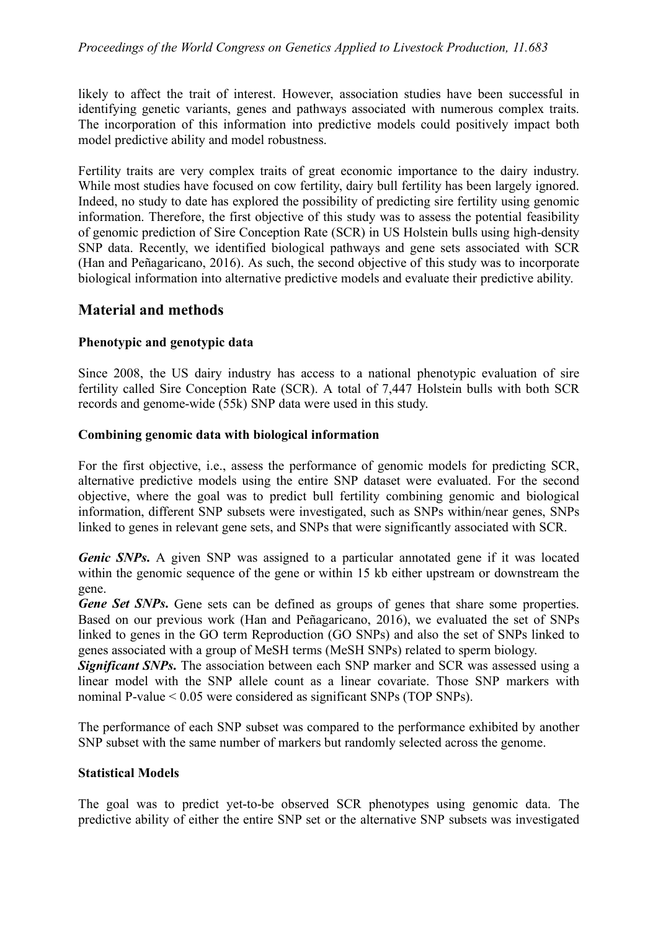likely to affect the trait of interest. However, association studies have been successful in identifying genetic variants, genes and pathways associated with numerous complex traits. The incorporation of this information into predictive models could positively impact both model predictive ability and model robustness.

Fertility traits are very complex traits of great economic importance to the dairy industry. While most studies have focused on cow fertility, dairy bull fertility has been largely ignored. Indeed, no study to date has explored the possibility of predicting sire fertility using genomic information. Therefore, the first objective of this study was to assess the potential feasibility of genomic prediction of Sire Conception Rate (SCR) in US Holstein bulls using high-density SNP data. Recently, we identified biological pathways and gene sets associated with SCR (Han and Peñagaricano, 2016). As such, the second objective of this study was to incorporate biological information into alternative predictive models and evaluate their predictive ability.

## **Material and methods**

## **Phenotypic and genotypic data**

Since 2008, the US dairy industry has access to a national phenotypic evaluation of sire fertility called Sire Conception Rate (SCR). A total of 7,447 Holstein bulls with both SCR records and genome-wide (55k) SNP data were used in this study.

## **Combining genomic data with biological information**

For the first objective, i.e., assess the performance of genomic models for predicting SCR, alternative predictive models using the entire SNP dataset were evaluated. For the second objective, where the goal was to predict bull fertility combining genomic and biological information, different SNP subsets were investigated, such as SNPs within/near genes, SNPs linked to genes in relevant gene sets, and SNPs that were significantly associated with SCR.

*Genic SNPs*. A given SNP was assigned to a particular annotated gene if it was located within the genomic sequence of the gene or within 15 kb either upstream or downstream the gene.

*Gene Set SNPs***.** Gene sets can be defined as groups of genes that share some properties. Based on our previous work (Han and Peñagaricano, 2016), we evaluated the set of SNPs linked to genes in the GO term Reproduction (GO SNPs) and also the set of SNPs linked to genes associated with a group of MeSH terms (MeSH SNPs) related to sperm biology.

**Significant SNPs.** The association between each SNP marker and SCR was assessed using a linear model with the SNP allele count as a linear covariate. Those SNP markers with nominal P-value < 0.05 were considered as significant SNPs (TOP SNPs).

The performance of each SNP subset was compared to the performance exhibited by another SNP subset with the same number of markers but randomly selected across the genome.

#### **Statistical Models**

The goal was to predict yet-to-be observed SCR phenotypes using genomic data. The predictive ability of either the entire SNP set or the alternative SNP subsets was investigated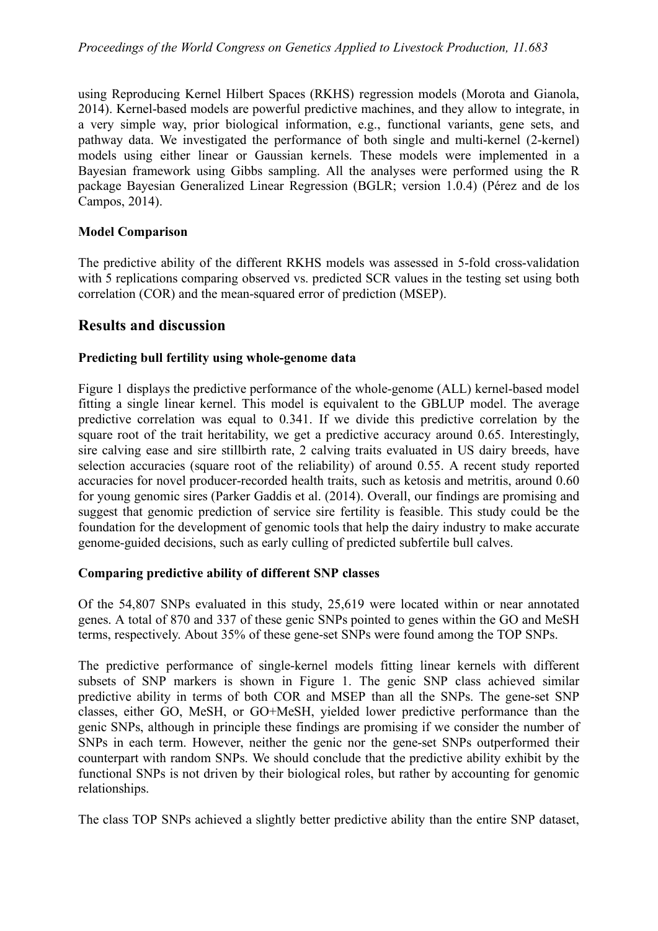using Reproducing Kernel Hilbert Spaces (RKHS) regression models (Morota and Gianola, 2014). Kernel-based models are powerful predictive machines, and they allow to integrate, in a very simple way, prior biological information, e.g., functional variants, gene sets, and pathway data. We investigated the performance of both single and multi-kernel (2-kernel) models using either linear or Gaussian kernels. These models were implemented in a Bayesian framework using Gibbs sampling. All the analyses were performed using the R package Bayesian Generalized Linear Regression (BGLR; version 1.0.4) (Pérez and de los Campos, 2014).

## **Model Comparison**

The predictive ability of the different RKHS models was assessed in 5-fold cross-validation with 5 replications comparing observed vs. predicted SCR values in the testing set using both correlation (COR) and the mean-squared error of prediction (MSEP).

## **Results and discussion**

## **Predicting bull fertility using whole-genome data**

Figure 1 displays the predictive performance of the whole-genome (ALL) kernel-based model fitting a single linear kernel. This model is equivalent to the GBLUP model. The average predictive correlation was equal to 0.341. If we divide this predictive correlation by the square root of the trait heritability, we get a predictive accuracy around 0.65. Interestingly, sire calving ease and sire stillbirth rate, 2 calving traits evaluated in US dairy breeds, have selection accuracies (square root of the reliability) of around 0.55. A recent study reported accuracies for novel producer-recorded health traits, such as ketosis and metritis, around 0.60 for young genomic sires (Parker Gaddis et al. (2014). Overall, our findings are promising and suggest that genomic prediction of service sire fertility is feasible. This study could be the foundation for the development of genomic tools that help the dairy industry to make accurate genome-guided decisions, such as early culling of predicted subfertile bull calves.

#### **Comparing predictive ability of different SNP classes**

Of the 54,807 SNPs evaluated in this study, 25,619 were located within or near annotated genes. A total of 870 and 337 of these genic SNPs pointed to genes within the GO and MeSH terms, respectively. About 35% of these gene-set SNPs were found among the TOP SNPs.

The predictive performance of single-kernel models fitting linear kernels with different subsets of SNP markers is shown in Figure 1. The genic SNP class achieved similar predictive ability in terms of both COR and MSEP than all the SNPs. The gene-set SNP classes, either GO, MeSH, or GO+MeSH, yielded lower predictive performance than the genic SNPs, although in principle these findings are promising if we consider the number of SNPs in each term. However, neither the genic nor the gene-set SNPs outperformed their counterpart with random SNPs. We should conclude that the predictive ability exhibit by the functional SNPs is not driven by their biological roles, but rather by accounting for genomic relationships.

The class TOP SNPs achieved a slightly better predictive ability than the entire SNP dataset,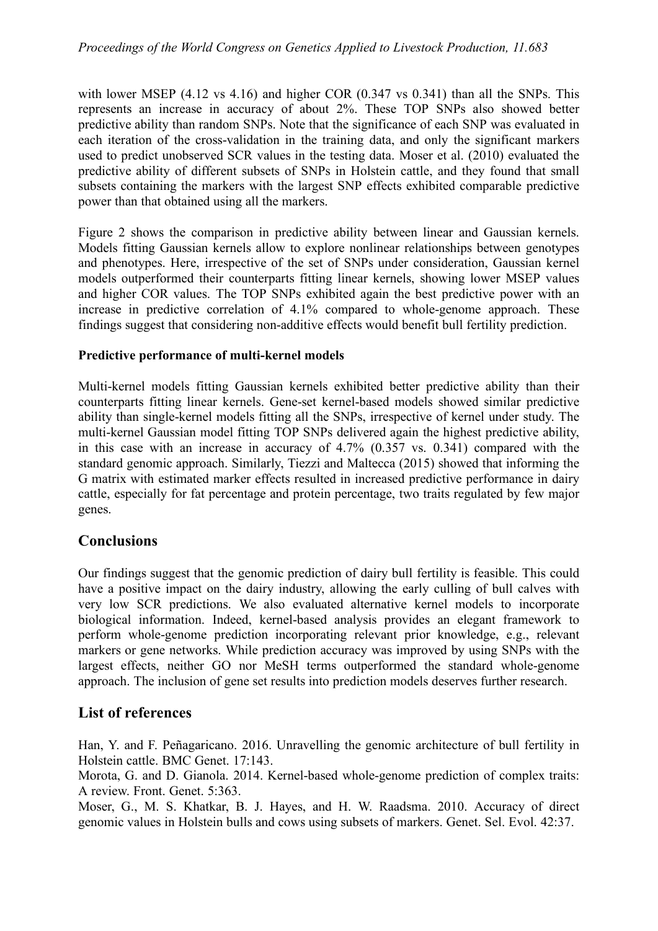with lower MSEP (4.12 vs 4.16) and higher COR (0.347 vs 0.341) than all the SNPs. This represents an increase in accuracy of about 2%. These TOP SNPs also showed better predictive ability than random SNPs. Note that the significance of each SNP was evaluated in each iteration of the cross-validation in the training data, and only the significant markers used to predict unobserved SCR values in the testing data. Moser et al. (2010) evaluated the predictive ability of different subsets of SNPs in Holstein cattle, and they found that small subsets containing the markers with the largest SNP effects exhibited comparable predictive power than that obtained using all the markers.

Figure 2 shows the comparison in predictive ability between linear and Gaussian kernels. Models fitting Gaussian kernels allow to explore nonlinear relationships between genotypes and phenotypes. Here, irrespective of the set of SNPs under consideration, Gaussian kernel models outperformed their counterparts fitting linear kernels, showing lower MSEP values and higher COR values. The TOP SNPs exhibited again the best predictive power with an increase in predictive correlation of 4.1% compared to whole-genome approach. These findings suggest that considering non-additive effects would benefit bull fertility prediction.

## **Predictive performance of multi-kernel models**

Multi-kernel models fitting Gaussian kernels exhibited better predictive ability than their counterparts fitting linear kernels. Gene-set kernel-based models showed similar predictive ability than single-kernel models fitting all the SNPs, irrespective of kernel under study. The multi-kernel Gaussian model fitting TOP SNPs delivered again the highest predictive ability, in this case with an increase in accuracy of 4.7% (0.357 vs. 0.341) compared with the standard genomic approach. Similarly, Tiezzi and Maltecca (2015) showed that informing the G matrix with estimated marker effects resulted in increased predictive performance in dairy cattle, especially for fat percentage and protein percentage, two traits regulated by few major genes.

# **Conclusions**

Our findings suggest that the genomic prediction of dairy bull fertility is feasible. This could have a positive impact on the dairy industry, allowing the early culling of bull calves with very low SCR predictions. We also evaluated alternative kernel models to incorporate biological information. Indeed, kernel-based analysis provides an elegant framework to perform whole-genome prediction incorporating relevant prior knowledge, e.g., relevant markers or gene networks. While prediction accuracy was improved by using SNPs with the largest effects, neither GO nor MeSH terms outperformed the standard whole-genome approach. The inclusion of gene set results into prediction models deserves further research.

# **List of references**

Han, Y. and F. Peñagaricano. 2016. Unravelling the genomic architecture of bull fertility in Holstein cattle. BMC Genet. 17:143.

Morota, G. and D. Gianola. 2014. Kernel-based whole-genome prediction of complex traits: A review. Front. Genet. 5:363.

Moser, G., M. S. Khatkar, B. J. Hayes, and H. W. Raadsma. 2010. Accuracy of direct genomic values in Holstein bulls and cows using subsets of markers. Genet. Sel. Evol. 42:37.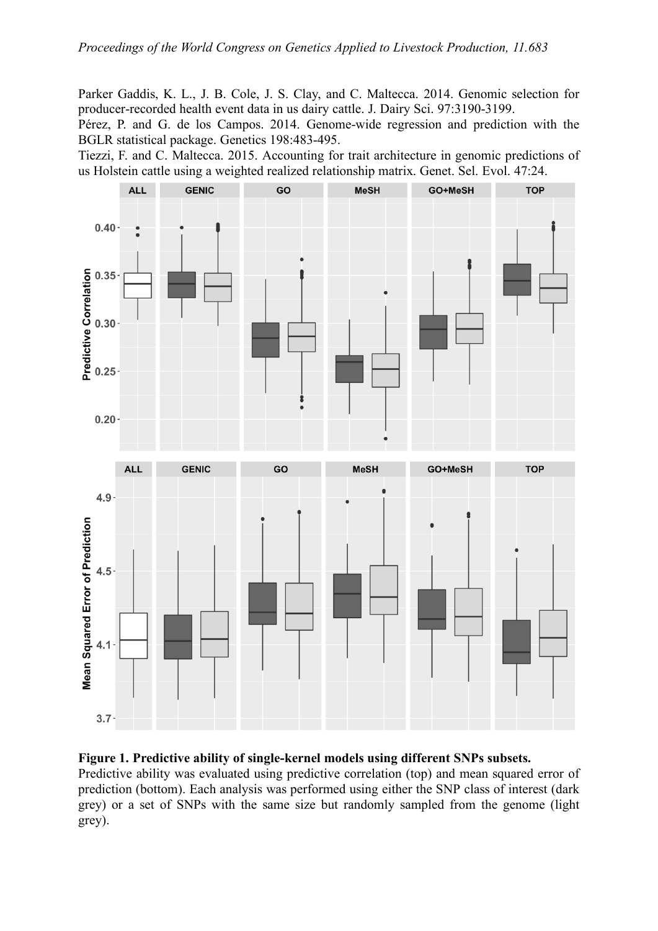Parker Gaddis, K. L., J. B. Cole, J. S. Clay, and C. Maltecca. 2014. Genomic selection for producer-recorded health event data in us dairy cattle. J. Dairy Sci. 97:3190-3199.

Pérez, P. and G. de los Campos. 2014. Genome-wide regression and prediction with the BGLR statistical package. Genetics 198:483-495.

Tiezzi, F. and C. Maltecca. 2015. Accounting for trait architecture in genomic predictions of us Holstein cattle using a weighted realized relationship matrix. Genet. Sel. Evol. 47:24.



#### **Figure 1. Predictive ability of single-kernel models using different SNPs subsets.**

Predictive ability was evaluated using predictive correlation (top) and mean squared error of prediction (bottom). Each analysis was performed using either the SNP class of interest (dark grey) or a set of SNPs with the same size but randomly sampled from the genome (light grey).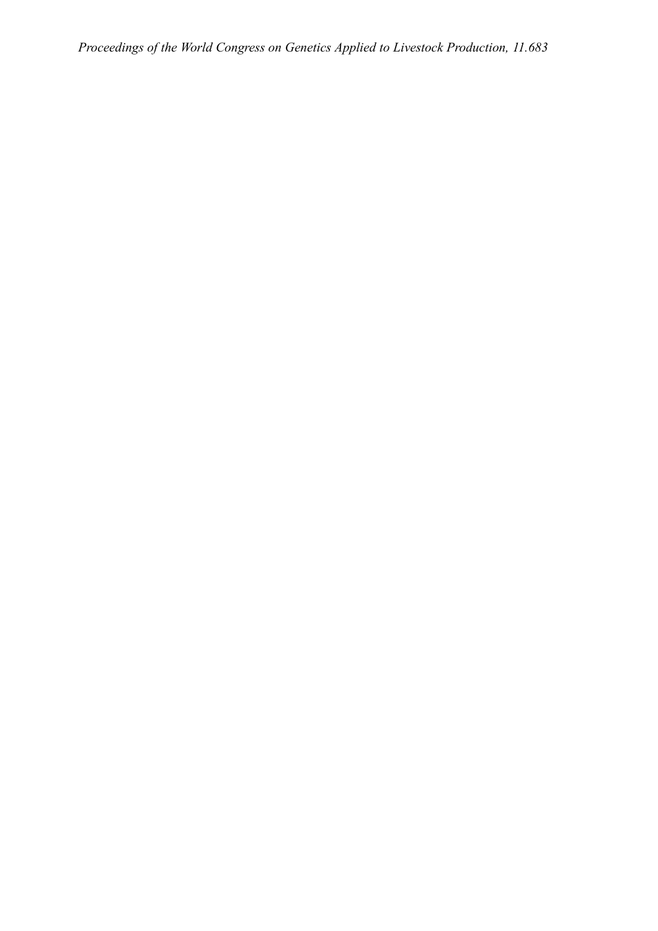*Proceedings of the World Congress on Genetics Applied to Livestock Production, 11.683*